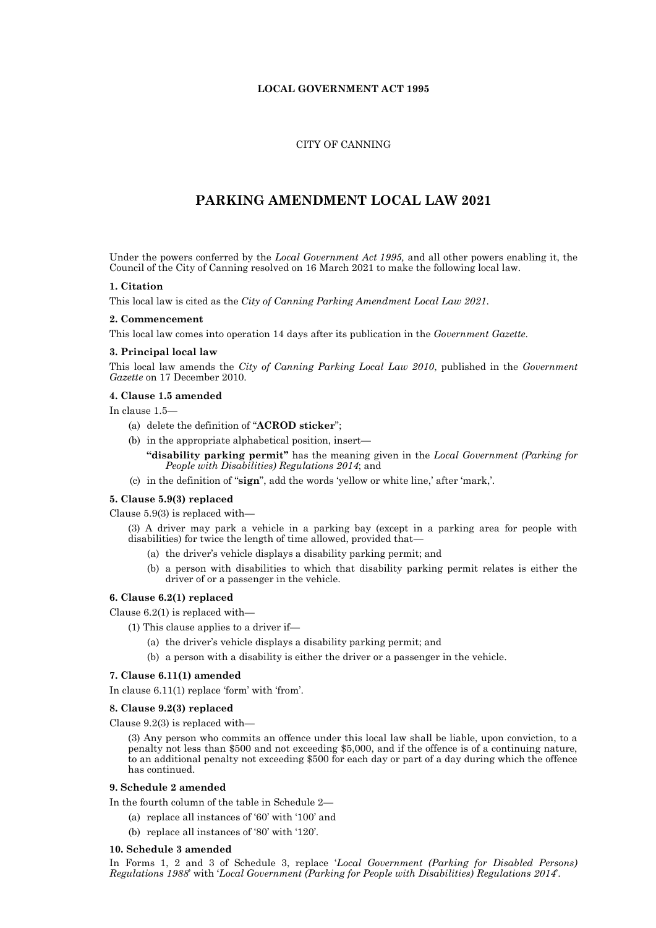# **LOCAL GOVERNMENT ACT 1995**

# CITY OF CANNING

# **PARKING AMENDMENT LOCAL LAW 2021**

Under the powers conferred by the *Local Government Act 1995,* and all other powers enabling it, the Council of the City of Canning resolved on 16 March 2021 to make the following local law.

#### **1. Citation**

This local law is cited as the *City of Canning Parking Amendment Local Law 2021*.

## **2. Commencement**

This local law comes into operation 14 days after its publication in the *Government Gazette*.

#### **3. Principal local law**

This local law amends the *City of Canning Parking Local Law 2010*, published in the *Government Gazette* on 17 December 2010.

#### **4. Clause 1.5 amended**

In clause 1.5—

- (a) delete the definition of "**ACROD sticker**";
- (b) in the appropriate alphabetical position, insert—
	- **"disability parking permit"** has the meaning given in the *Local Government (Parking for People with Disabilities) Regulations 2014*; and
- (c) in the definition of "**sign**", add the words 'yellow or white line,' after 'mark,'.

## **5. Clause 5.9(3) replaced**

Clause 5.9(3) is replaced with—

(3) A driver may park a vehicle in a parking bay (except in a parking area for people with disabilities) for twice the length of time allowed, provided that—

- (a) the driver's vehicle displays a disability parking permit; and
- (b) a person with disabilities to which that disability parking permit relates is either the driver of or a passenger in the vehicle.

## **6. Clause 6.2(1) replaced**

Clause 6.2(1) is replaced with—

- (1) This clause applies to a driver if—
	- (a) the driver's vehicle displays a disability parking permit; and
	- (b) a person with a disability is either the driver or a passenger in the vehicle.

#### **7. Clause 6.11(1) amended**

In clause 6.11(1) replace 'form' with 'from'.

#### **8. Clause 9.2(3) replaced**

Clause 9.2(3) is replaced with—

(3) Any person who commits an offence under this local law shall be liable, upon conviction, to a penalty not less than \$500 and not exceeding \$5,000, and if the offence is of a continuing nature, to an additional penalty not exceeding \$500 for each day or part of a day during which the offence has continued.

## **9. Schedule 2 amended**

In the fourth column of the table in Schedule 2—

- (a) replace all instances of '60' with '100' and
- (b) replace all instances of '80' with '120'.

#### **10. Schedule 3 amended**

In Forms 1, 2 and 3 of Schedule 3, replace '*Local Government (Parking for Disabled Persons) Regulations 1988*' with '*Local Government (Parking for People with Disabilities) Regulations 2014*'.